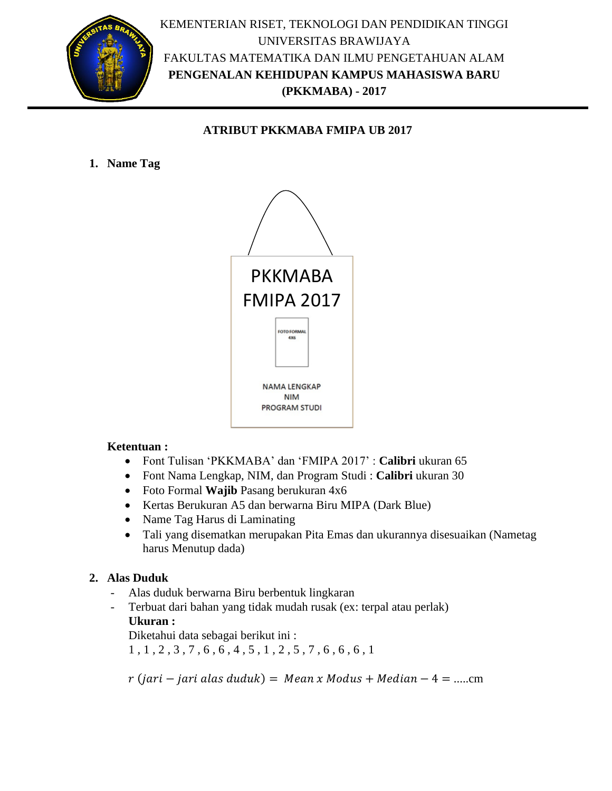

### **ATRIBUT PKKMABA FMIPA UB 2017**

**1. Name Tag** 



### **Ketentuan :**

- Font Tulisan 'PKKMABA' dan 'FMIPA 2017' : **Calibri** ukuran 65
- Font Nama Lengkap, NIM, dan Program Studi : **Calibri** ukuran 30
- Foto Formal **Wajib** Pasang berukuran 4x6
- Kertas Berukuran A5 dan berwarna Biru MIPA (Dark Blue)
- Name Tag Harus di Laminating
- Tali yang disematkan merupakan Pita Emas dan ukurannya disesuaikan (Nametag harus Menutup dada)

## **2. Alas Duduk**

- Alas duduk berwarna Biru berbentuk lingkaran
- Terbuat dari bahan yang tidak mudah rusak (ex: terpal atau perlak) **Ukuran :**

Diketahui data sebagai berikut ini :

1 , 1 , 2 , 3 , 7 , 6 , 6 , 4 , 5 , 1 , 2 , 5 , 7 , 6 , 6 , 6 , 1

 $r(jari - jari \, alas \, duduk) = Mean \, x \, Modus + Median - 4 = ......$ cm